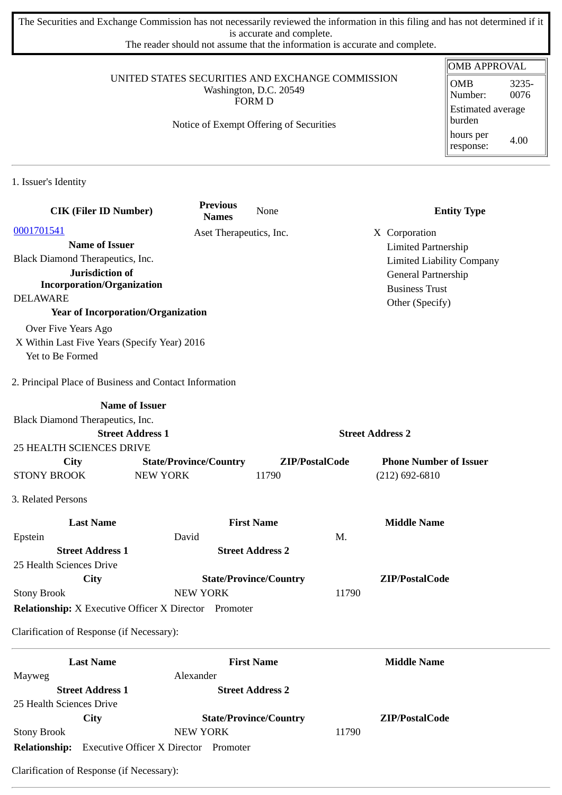The Securities and Exchange Commission has not necessarily reviewed the information in this filing and has not determined if it is accurate and complete.

The reader should not assume that the information is accurate and complete.

## UNITED STATES SECURITIES AND EXCHANGE COMMISSION Washington, D.C. 20549 FORM D

## Notice of Exempt Offering of Securities

| <b>OMB APPROVAL</b>                |               |  |  |
|------------------------------------|---------------|--|--|
| <b>OMB</b><br>Number:              | 3235-<br>0076 |  |  |
| <b>Estimated average</b><br>burden |               |  |  |
| hours per<br>response:             | 4.00          |  |  |

1. Issuer's Identity

| <b>CIK (Filer ID Number)</b>                                 | <b>Previous</b><br><b>Names</b> | None                          | <b>Entity Type</b>               |  |
|--------------------------------------------------------------|---------------------------------|-------------------------------|----------------------------------|--|
| 0001701541                                                   | Aset Therapeutics, Inc.         |                               | X Corporation                    |  |
| <b>Name of Issuer</b>                                        |                                 |                               | <b>Limited Partnership</b>       |  |
| Black Diamond Therapeutics, Inc.                             |                                 |                               | <b>Limited Liability Company</b> |  |
| Jurisdiction of                                              |                                 |                               | General Partnership              |  |
| <b>Incorporation/Organization</b>                            |                                 |                               | <b>Business Trust</b>            |  |
| <b>DELAWARE</b>                                              |                                 |                               | Other (Specify)                  |  |
| <b>Year of Incorporation/Organization</b>                    |                                 |                               |                                  |  |
| Over Five Years Ago                                          |                                 |                               |                                  |  |
| X Within Last Five Years (Specify Year) 2016                 |                                 |                               |                                  |  |
| Yet to Be Formed                                             |                                 |                               |                                  |  |
| 2. Principal Place of Business and Contact Information       |                                 |                               |                                  |  |
| <b>Name of Issuer</b>                                        |                                 |                               |                                  |  |
| Black Diamond Therapeutics, Inc.                             |                                 |                               |                                  |  |
| <b>Street Address 1</b>                                      |                                 |                               | <b>Street Address 2</b>          |  |
| <b>25 HEALTH SCIENCES DRIVE</b>                              |                                 |                               |                                  |  |
| <b>City</b>                                                  | <b>State/Province/Country</b>   | ZIP/PostalCode                | <b>Phone Number of Issuer</b>    |  |
| <b>STONY BROOK</b>                                           | <b>NEW YORK</b>                 | 11790                         | (212) 692-6810                   |  |
| 3. Related Persons                                           |                                 |                               |                                  |  |
| <b>Last Name</b>                                             |                                 | <b>First Name</b>             | <b>Middle Name</b>               |  |
| Epstein                                                      | David                           |                               | M.                               |  |
| <b>Street Address 1</b>                                      |                                 | <b>Street Address 2</b>       |                                  |  |
| 25 Health Sciences Drive                                     |                                 |                               |                                  |  |
| City                                                         |                                 | <b>State/Province/Country</b> | ZIP/PostalCode                   |  |
| <b>Stony Brook</b>                                           | <b>NEW YORK</b>                 |                               | 11790                            |  |
| <b>Relationship:</b> X Executive Officer X Director Promoter |                                 |                               |                                  |  |
| Clarification of Response (if Necessary):                    |                                 |                               |                                  |  |
| <b>Last Name</b>                                             |                                 | <b>First Name</b>             | <b>Middle Name</b>               |  |
| Mayweg                                                       | Alexander                       |                               |                                  |  |
| <b>Street Address 1</b>                                      |                                 | <b>Street Address 2</b>       |                                  |  |
| 25 Health Sciences Drive                                     |                                 |                               |                                  |  |
| City                                                         |                                 | <b>State/Province/Country</b> | ZIP/PostalCode                   |  |
| <b>Stony Brook</b>                                           | <b>NEW YORK</b>                 |                               | 11790                            |  |
| <b>Relationship:</b> Executive Officer X Director Promoter   |                                 |                               |                                  |  |

Clarification of Response (if Necessary):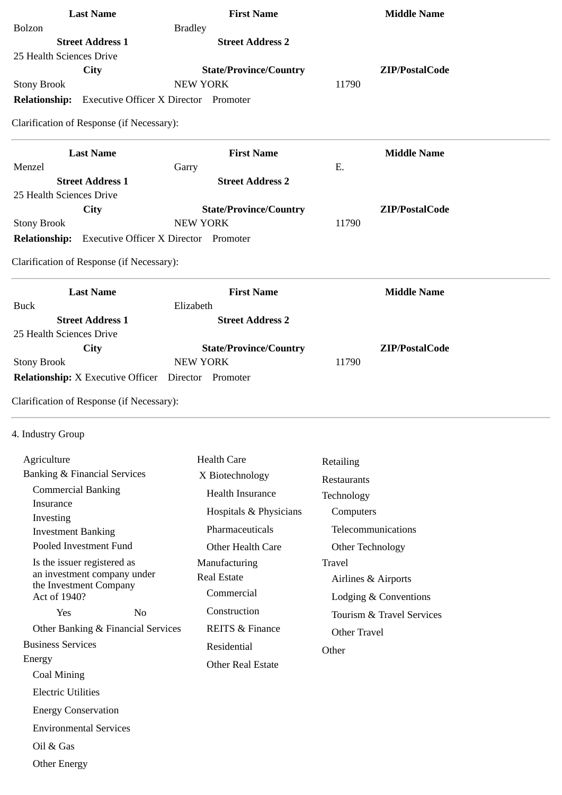| <b>Last Name</b>                                                                   | <b>First Name</b>                | <b>Middle Name</b>        |
|------------------------------------------------------------------------------------|----------------------------------|---------------------------|
| <b>Bolzon</b>                                                                      | <b>Bradley</b>                   |                           |
| <b>Street Address 1</b>                                                            | <b>Street Address 2</b>          |                           |
| 25 Health Sciences Drive                                                           |                                  |                           |
| City                                                                               | <b>State/Province/Country</b>    | ZIP/PostalCode            |
| <b>Stony Brook</b>                                                                 | <b>NEW YORK</b>                  | 11790                     |
| Relationship: Executive Officer X Director Promoter                                |                                  |                           |
| Clarification of Response (if Necessary):                                          |                                  |                           |
| <b>Last Name</b>                                                                   | <b>First Name</b>                | <b>Middle Name</b>        |
| Menzel<br><b>Street Address 1</b>                                                  | Garry<br><b>Street Address 2</b> | Ε.                        |
| 25 Health Sciences Drive                                                           |                                  |                           |
| City                                                                               | <b>State/Province/Country</b>    | ZIP/PostalCode            |
| <b>Stony Brook</b>                                                                 | <b>NEW YORK</b>                  | 11790                     |
| <b>Relationship:</b><br><b>Executive Officer X Director Promoter</b>               |                                  |                           |
|                                                                                    |                                  |                           |
| Clarification of Response (if Necessary):                                          |                                  |                           |
| <b>Last Name</b>                                                                   | <b>First Name</b>                | <b>Middle Name</b>        |
| <b>Buck</b>                                                                        | Elizabeth                        |                           |
| <b>Street Address 1</b>                                                            | <b>Street Address 2</b>          |                           |
| 25 Health Sciences Drive                                                           |                                  |                           |
| City                                                                               | <b>State/Province/Country</b>    | ZIP/PostalCode            |
| <b>Stony Brook</b><br><b>Relationship:</b> X Executive Officer  Director  Promoter | <b>NEW YORK</b>                  | 11790                     |
| Clarification of Response (if Necessary):<br>4. Industry Group                     |                                  |                           |
| Agriculture                                                                        | <b>Health Care</b>               | Retailing                 |
| <b>Banking &amp; Financial Services</b>                                            | X Biotechnology                  |                           |
| <b>Commercial Banking</b>                                                          | <b>Health Insurance</b>          | Restaurants               |
| Insurance                                                                          |                                  | Technology                |
| Investing                                                                          | Hospitals & Physicians           | Computers                 |
| <b>Investment Banking</b>                                                          | Pharmaceuticals                  | Telecommunications        |
| Pooled Investment Fund                                                             | Other Health Care                | Other Technology          |
| Is the issuer registered as                                                        | Manufacturing                    | Travel                    |
| an investment company under<br>the Investment Company                              | <b>Real Estate</b>               | Airlines & Airports       |
| Act of 1940?                                                                       | Commercial                       | Lodging & Conventions     |
| Yes<br>N <sub>0</sub>                                                              | Construction                     | Tourism & Travel Services |
| Other Banking & Financial Services                                                 | <b>REITS &amp; Finance</b>       | Other Travel              |
| <b>Business Services</b>                                                           | Residential                      |                           |
| Energy                                                                             |                                  | Other                     |
| <b>Coal Mining</b>                                                                 | <b>Other Real Estate</b>         |                           |
| <b>Electric Utilities</b>                                                          |                                  |                           |
| <b>Energy Conservation</b>                                                         |                                  |                           |
| <b>Environmental Services</b>                                                      |                                  |                           |
| Oil & Gas                                                                          |                                  |                           |
|                                                                                    |                                  |                           |
| <b>Other Energy</b>                                                                |                                  |                           |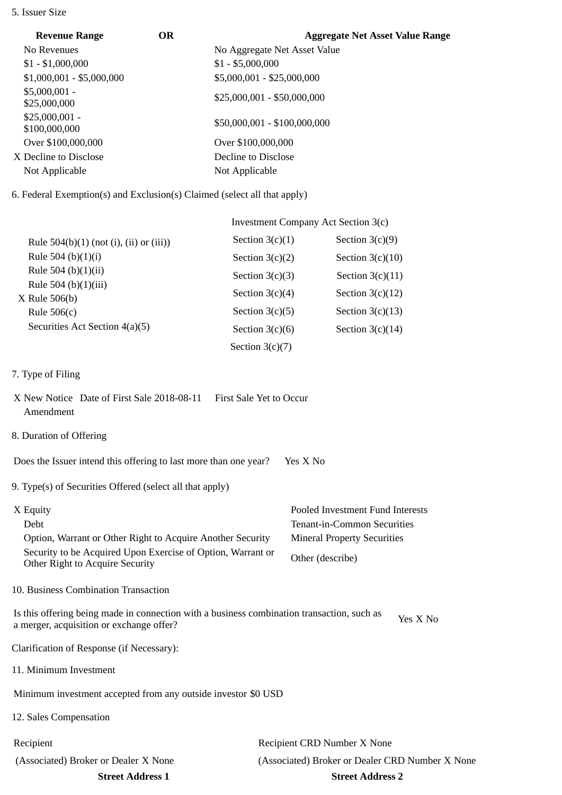## 5. Issuer Size

| <b>Revenue Range</b>             | <b>OR</b> | <b>Aggregate Net Asset Value Range</b> |
|----------------------------------|-----------|----------------------------------------|
| No Revenues                      |           | No Aggregate Net Asset Value           |
| $$1 - $1,000,000$                |           | $$1 - $5,000,000$                      |
| $$1,000,001 - $5,000,000$        |           | \$5,000,001 - \$25,000,000             |
| $$5,000,001 -$<br>\$25,000,000   |           | $$25,000,001 - $50,000,000$            |
| $$25,000,001 -$<br>\$100,000,000 |           | \$50,000,001 - \$100,000,000           |
| Over \$100,000,000               |           | Over \$100,000,000                     |
| X Decline to Disclose            |           | Decline to Disclose                    |
| Not Applicable                   |           | Not Applicable                         |

6. Federal Exemption(s) and Exclusion(s) Claimed (select all that apply)

|                                                                      |                   | Investment Company Act Section 3(c) |  |  |
|----------------------------------------------------------------------|-------------------|-------------------------------------|--|--|
| Rule $504(b)(1)$ (not (i), (ii) or (iii))                            | Section $3(c)(1)$ | Section $3(c)(9)$                   |  |  |
| Rule 504 (b) $(1)(i)$                                                | Section $3(c)(2)$ | Section $3(c)(10)$                  |  |  |
| Rule 504 (b) $(1)(ii)$<br>Rule 504 (b) $(1)(iii)$<br>$X$ Rule 506(b) | Section $3(c)(3)$ | Section $3(c)(11)$                  |  |  |
|                                                                      | Section $3(c)(4)$ | Section $3(c)(12)$                  |  |  |
| Rule $506(c)$                                                        | Section $3(c)(5)$ | Section $3(c)(13)$                  |  |  |
| Securities Act Section 4(a)(5)                                       | Section $3(c)(6)$ | Section $3(c)(14)$                  |  |  |
|                                                                      | Section $3(c)(7)$ |                                     |  |  |

- 7. Type of Filing
- X New Notice Date of First Sale 2018-08-11 First Sale Yet to Occur Amendment
- 8. Duration of Offering

Does the Issuer intend this offering to last more than one year? Yes X No

9. Type(s) of Securities Offered (select all that apply)

| X Equity                                                                                       | Pooled Investment Fund Interests   |
|------------------------------------------------------------------------------------------------|------------------------------------|
| Debt                                                                                           | Tenant-in-Common Securities        |
| Option, Warrant or Other Right to Acquire Another Security                                     | <b>Mineral Property Securities</b> |
| Security to be Acquired Upon Exercise of Option, Warrant or<br>Other Right to Acquire Security | Other (describe)                   |

10. Business Combination Transaction

Is this offering being made in connection with a business combination transaction, such as is this oriening being made in connection with a business combination transaction, such as  $Y$ es X No a merger, acquisition or exchange offer?

Clarification of Response (if Necessary):

11. Minimum Investment

Minimum investment accepted from any outside investor \$0 USD

12. Sales Compensation

Recipient Recipient CRD Number X None (Associated) Broker or Dealer X None (Associated) Broker or Dealer CRD Number X None **Street Address 1 Street Address 2**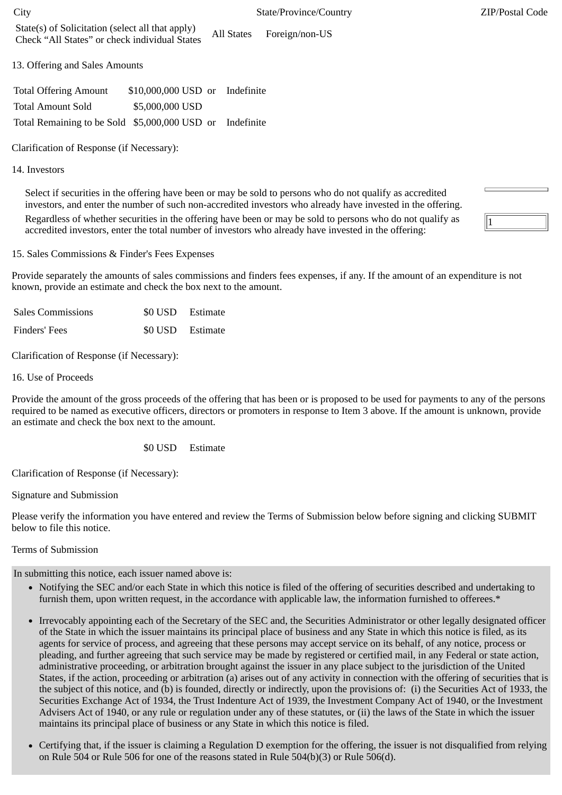13. Offering and Sales Amounts

| <b>Total Offering Amount</b>                             | \$10,000,000 USD or Indefinite |  |
|----------------------------------------------------------|--------------------------------|--|
| <b>Total Amount Sold</b>                                 | \$5,000,000 USD                |  |
| Total Remaining to be Sold \$5,000,000 USD or Indefinite |                                |  |

Clarification of Response (if Necessary):

14. Investors

Select if securities in the offering have been or may be sold to persons who do not qualify as accredited investors, and enter the number of such non-accredited investors who already have invested in the offering.

Regardless of whether securities in the offering have been or may be sold to persons who do not qualify as accredited investors, enter the total number of investors who already have invested in the offering:

15. Sales Commissions & Finder's Fees Expenses

Provide separately the amounts of sales commissions and finders fees expenses, if any. If the amount of an expenditure is not known, provide an estimate and check the box next to the amount.

| <b>Sales Commissions</b> | \$0 USD Estimate |
|--------------------------|------------------|
| Finders' Fees            | \$0 USD Estimate |

Clarification of Response (if Necessary):

16. Use of Proceeds

Provide the amount of the gross proceeds of the offering that has been or is proposed to be used for payments to any of the persons required to be named as executive officers, directors or promoters in response to Item 3 above. If the amount is unknown, provide an estimate and check the box next to the amount.

\$0 USD Estimate

Clarification of Response (if Necessary):

Signature and Submission

Please verify the information you have entered and review the Terms of Submission below before signing and clicking SUBMIT below to file this notice.

## Terms of Submission

In submitting this notice, each issuer named above is:

- Notifying the SEC and/or each State in which this notice is filed of the offering of securities described and undertaking to furnish them, upon written request, in the accordance with applicable law, the information furnished to offerees.\*
- Irrevocably appointing each of the Secretary of the SEC and, the Securities Administrator or other legally designated officer of the State in which the issuer maintains its principal place of business and any State in which this notice is filed, as its agents for service of process, and agreeing that these persons may accept service on its behalf, of any notice, process or pleading, and further agreeing that such service may be made by registered or certified mail, in any Federal or state action, administrative proceeding, or arbitration brought against the issuer in any place subject to the jurisdiction of the United States, if the action, proceeding or arbitration (a) arises out of any activity in connection with the offering of securities that is the subject of this notice, and (b) is founded, directly or indirectly, upon the provisions of: (i) the Securities Act of 1933, the Securities Exchange Act of 1934, the Trust Indenture Act of 1939, the Investment Company Act of 1940, or the Investment Advisers Act of 1940, or any rule or regulation under any of these statutes, or (ii) the laws of the State in which the issuer maintains its principal place of business or any State in which this notice is filed.
- Certifying that, if the issuer is claiming a Regulation D exemption for the offering, the issuer is not disqualified from relying on Rule 504 or Rule 506 for one of the reasons stated in Rule 504(b)(3) or Rule 506(d).

1